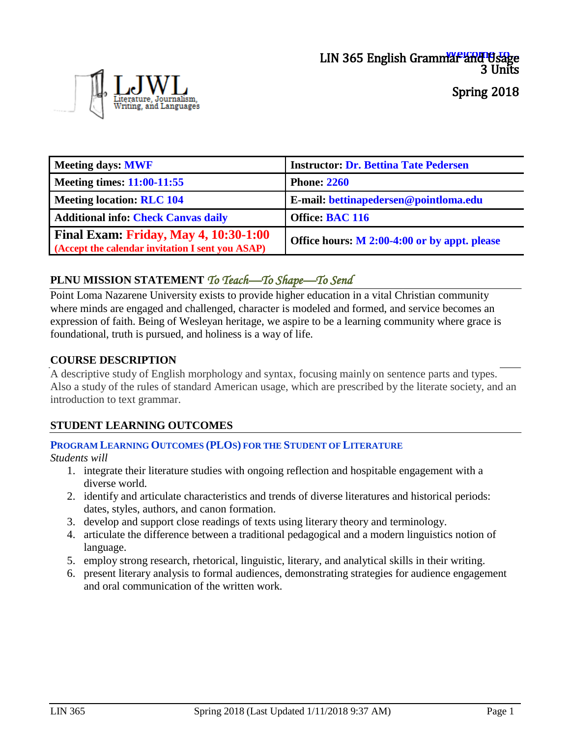

Spring 2018

| Meeting days: MWF                                                                                | <b>Instructor: Dr. Bettina Tate Pedersen</b> |
|--------------------------------------------------------------------------------------------------|----------------------------------------------|
| Meeting times: $11:00-11:55$                                                                     | <b>Phone: 2260</b>                           |
| Meeting location: RLC 104                                                                        | E-mail: bettinapedersen@pointloma.edu        |
| <b>Additional info: Check Canvas daily</b>                                                       | Office: BAC 116                              |
| <b>Final Exam: Friday, May 4, 10:30-1:00</b><br>(Accept the calendar invitation I sent you ASAP) | Office hours: M 2:00-4:00 or by appt. please |

# **PLNU MISSION STATEMENT** *To Teach—To Shape—To Send*

Point Loma Nazarene University exists to provide higher education in a vital Christian community where minds are engaged and challenged, character is modeled and formed, and service becomes an expression of faith. Being of Wesleyan heritage, we aspire to be a learning community where grace is foundational, truth is pursued, and holiness is a way of life.

### **COURSE DESCRIPTION**

A descriptive study of English morphology and syntax, focusing mainly on sentence parts and types. Also a study of the rules of standard American usage, which are prescribed by the literate society, and an introduction to text grammar.

### **STUDENT LEARNING OUTCOMES**

### **PROGRAM LEARNING OUTCOMES (PLOS) FOR THE STUDENT OF LITERATURE**

*Students will*

- 1. integrate their literature studies with ongoing reflection and hospitable engagement with a diverse world.
- 2. identify and articulate characteristics and trends of diverse literatures and historical periods: dates, styles, authors, and canon formation.
- 3. develop and support close readings of texts using literary theory and terminology.
- 4. articulate the difference between a traditional pedagogical and a modern linguistics notion of language.
- 5. employ strong research, rhetorical, linguistic, literary, and analytical skills in their writing.
- 6. present literary analysis to formal audiences, demonstrating strategies for audience engagement and oral communication of the written work.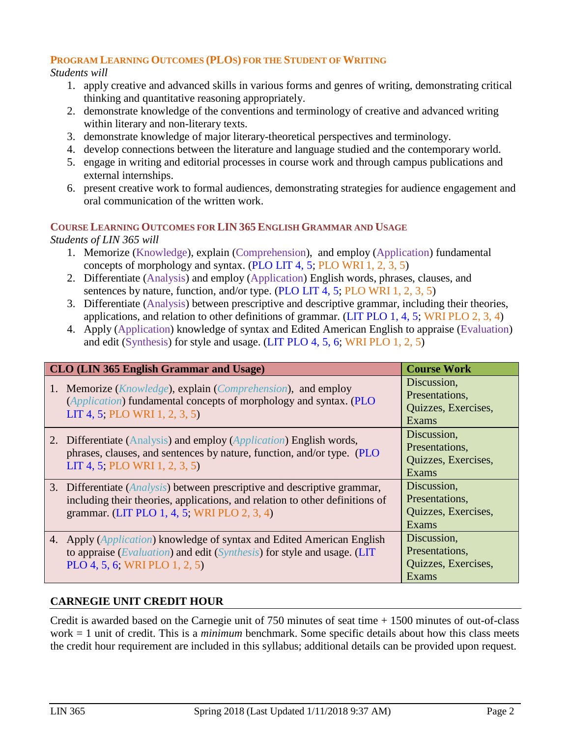### **PROGRAM LEARNING OUTCOMES (PLOS) FOR THE STUDENT OF WRITING**

*Students will*

- 1. apply creative and advanced skills in various forms and genres of writing, demonstrating critical thinking and quantitative reasoning appropriately.
- 2. demonstrate knowledge of the conventions and terminology of creative and advanced writing within literary and non-literary texts.
- 3. demonstrate knowledge of major literary-theoretical perspectives and terminology.
- 4. develop connections between the literature and language studied and the contemporary world.
- 5. engage in writing and editorial processes in course work and through campus publications and external internships.
- 6. present creative work to formal audiences, demonstrating strategies for audience engagement and oral communication of the written work.

### **COURSE LEARNING OUTCOMES FOR LIN 365 ENGLISH GRAMMAR AND USAGE**

*Students of LIN 365 will*

- 1. Memorize (Knowledge), explain (Comprehension), and employ (Application) fundamental concepts of morphology and syntax. (PLO LIT 4, 5; PLO WRI 1, 2, 3, 5)
- 2. Differentiate (Analysis) and employ (Application) English words, phrases, clauses, and sentences by nature, function, and/or type. (PLO LIT 4, 5; PLO WRI 1, 2, 3, 5)
- 3. Differentiate (Analysis) between prescriptive and descriptive grammar, including their theories, applications, and relation to other definitions of grammar. (LIT PLO 1, 4, 5; WRI PLO 2, 3, 4)
- 4. Apply (Application) knowledge of syntax and Edited American English to appraise (Evaluation) and edit (Synthesis) for style and usage. (LIT PLO 4, 5, 6; WRI PLO 1, 2, 5)

| CLO (LIN 365 English Grammar and Usage)                                                                                                                                                                           | <b>Course Work</b>                                                   |  |  |
|-------------------------------------------------------------------------------------------------------------------------------------------------------------------------------------------------------------------|----------------------------------------------------------------------|--|--|
| 1. Memorize ( <i>Knowledge</i> ), explain ( <i>Comprehension</i> ), and employ<br>(Application) fundamental concepts of morphology and syntax. (PLO<br>LIT 4, 5; PLO WRI 1, 2, 3, 5)                              | Discussion,<br>Presentations,<br>Quizzes, Exercises,<br>Exams        |  |  |
| 2. Differentiate (Analysis) and employ (Application) English words,<br>phrases, clauses, and sentences by nature, function, and/or type. (PLO<br>LIT 4, 5; PLO WRI 1, 2, 3, 5)                                    | Discussion,<br>Presentations,<br>Quizzes, Exercises,<br><b>Exams</b> |  |  |
| 3. Differentiate ( <i>Analysis</i> ) between prescriptive and descriptive grammar,<br>including their theories, applications, and relation to other definitions of<br>grammar. (LIT PLO 1, 4, 5; WRI PLO 2, 3, 4) | Discussion,<br>Presentations,<br>Quizzes, Exercises,<br><b>Exams</b> |  |  |
| 4. Apply ( <i>Application</i> ) knowledge of syntax and Edited American English<br>to appraise (Evaluation) and edit (Synthesis) for style and usage. (LIT<br>PLO 4, 5, 6; WRI PLO 1, 2, 5)                       | Discussion,<br>Presentations,<br>Quizzes, Exercises,<br>Exams        |  |  |

# **CARNEGIE UNIT CREDIT HOUR**

Credit is awarded based on the Carnegie unit of 750 minutes of seat time + 1500 minutes of out-of-class work = 1 unit of credit. This is a *minimum* benchmark. Some specific details about how this class meets the credit hour requirement are included in this syllabus; additional details can be provided upon request.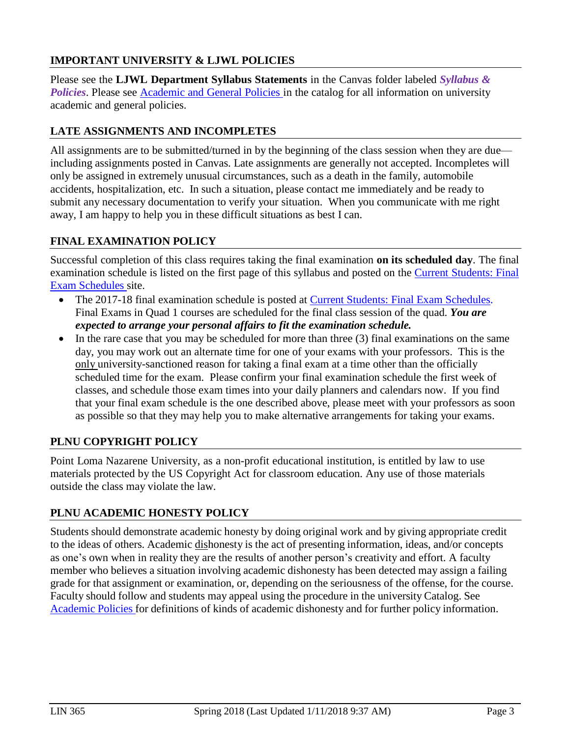## **IMPORTANT UNIVERSITY & LJWL POLICIES**

Please see the **LJWL Department Syllabus Statements** in the Canvas folder labeled *Syllabus & Policies*. Please see [Academic and](https://catalog.pointloma.edu/content.php?catoid=28&navoid=1761) General Policies in the catalog for all information on university academic and general policies.

## **LATE ASSIGNMENTS AND INCOMPLETES**

All assignments are to be submitted/turned in by the beginning of the class session when they are due including assignments posted in Canvas. Late assignments are generally not accepted. Incompletes will only be assigned in extremely unusual circumstances, such as a death in the family, automobile accidents, hospitalization, etc. In such a situation, please contact me immediately and be ready to submit any necessary documentation to verify your situation. When you communicate with me right away, I am happy to help you in these difficult situations as best I can.

# **FINAL EXAMINATION POLICY**

Successful completion of this class requires taking the final examination **on its scheduled day**. The final examination schedule is listed on the first page of this syllabus and posted on the Current [Students: Final](https://www.pointloma.edu/current-students) [Exam Schedules](https://www.pointloma.edu/current-students) site.

- The 2017-18 final examination schedule is posted at **Current Students: Final Exam Schedules**. Final Exams in Quad 1 courses are scheduled for the final class session of the quad. *You are expected to arrange your personal affairs to fit the examination schedule.*
- $\bullet$  In the rare case that you may be scheduled for more than three (3) final examinations on the same day, you may work out an alternate time for one of your exams with your professors. This is the only university-sanctioned reason for taking a final exam at a time other than the officially scheduled time for the exam. Please confirm your final examination schedule the first week of classes, and schedule those exam times into your daily planners and calendars now. If you find that your final exam schedule is the one described above, please meet with your professors as soon as possible so that they may help you to make alternative arrangements for taking your exams.

### **PLNU COPYRIGHT POLICY**

Point Loma Nazarene University, as a non-profit educational institution, is entitled by law to use materials protected by the US Copyright Act for classroom education. Any use of those materials outside the class may violate the law.

### **PLNU ACADEMIC HONESTY POLICY**

Students should demonstrate academic honesty by doing original work and by giving appropriate credit to the ideas of others. Academic dishonesty is the act of presenting information, ideas, and/or concepts as one's own when in reality they are the results of another person's creativity and effort. A faculty member who believes a situation involving academic dishonesty has been detected may assign a failing grade for that assignment or examination, or, depending on the seriousness of the offense, for the course. Faculty should follow and students may appeal using the procedure in the university Catalog. See [Academic](http://catalog.pointloma.edu/content.php?catoid=18&navoid=1278) Policies for definitions of kinds of academic dishonesty and for further policy information.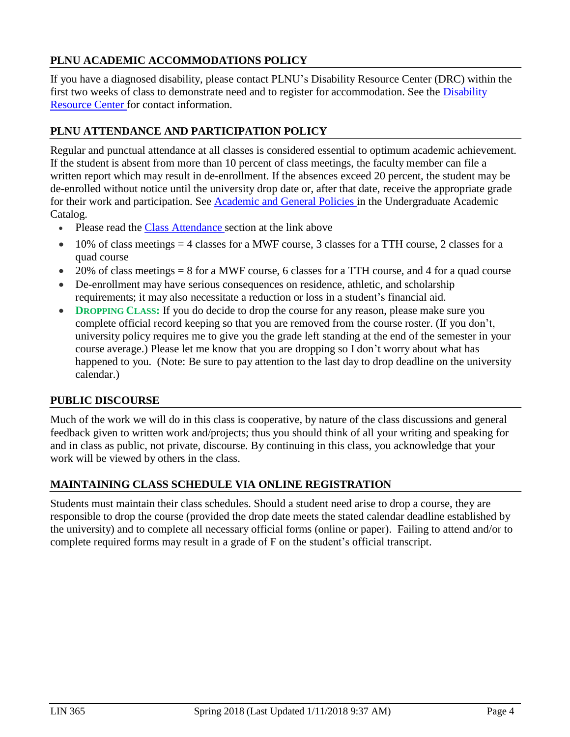## **PLNU ACADEMIC ACCOMMODATIONS POLICY**

If you have a diagnosed disability, please contact PLNU's Disability Resource Center (DRC) within the first two weeks of class to demonstrate need and to register for accommodation. See the [Disability](http://www.pointloma.edu/experience/offices/administrative-offices/academic-advising-office/disability-resource-center) [Resource Center f](http://www.pointloma.edu/experience/offices/administrative-offices/academic-advising-office/disability-resource-center)or contact information.

### **PLNU ATTENDANCE AND PARTICIPATION POLICY**

Regular and punctual attendance at all classes is considered essential to optimum academic achievement. If the student is absent from more than 10 percent of class meetings, the faculty member can file a written report which may result in de-enrollment. If the absences exceed 20 percent, the student may be de-enrolled without notice until the university drop date or, after that date, receive the appropriate grade for their work and participation. See [Academic and General](https://catalog.pointloma.edu/content.php?catoid=28&navoid=1761) Policies in the Undergraduate Academic Catalog.

- Please read the [Class Attendance](https://catalog.pointloma.edu/content.php?catoid=28&navoid=1761&Class_Attendance) section at the link above
- $\bullet$  10% of class meetings = 4 classes for a MWF course, 3 classes for a TTH course, 2 classes for a quad course
- $\bullet$  20% of class meetings = 8 for a MWF course, 6 classes for a TTH course, and 4 for a quad course
- De-enrollment may have serious consequences on residence, athletic, and scholarship requirements; it may also necessitate a reduction or loss in a student's financial aid.
- **DROPPING** CLASS: If you do decide to drop the course for any reason, please make sure you complete official record keeping so that you are removed from the course roster. (If you don't, university policy requires me to give you the grade left standing at the end of the semester in your course average.) Please let me know that you are dropping so I don't worry about what has happened to you. (Note: Be sure to pay attention to the last day to drop deadline on the university calendar.)

### **PUBLIC DISCOURSE**

Much of the work we will do in this class is cooperative, by nature of the class discussions and general feedback given to written work and/projects; thus you should think of all your writing and speaking for and in class as public, not private, discourse. By continuing in this class, you acknowledge that your work will be viewed by others in the class.

### **MAINTAINING CLASS SCHEDULE VIA ONLINE REGISTRATION**

Students must maintain their class schedules. Should a student need arise to drop a course, they are responsible to drop the course (provided the drop date meets the stated calendar deadline established by the university) and to complete all necessary official forms (online or paper). Failing to attend and/or to complete required forms may result in a grade of F on the student's official transcript.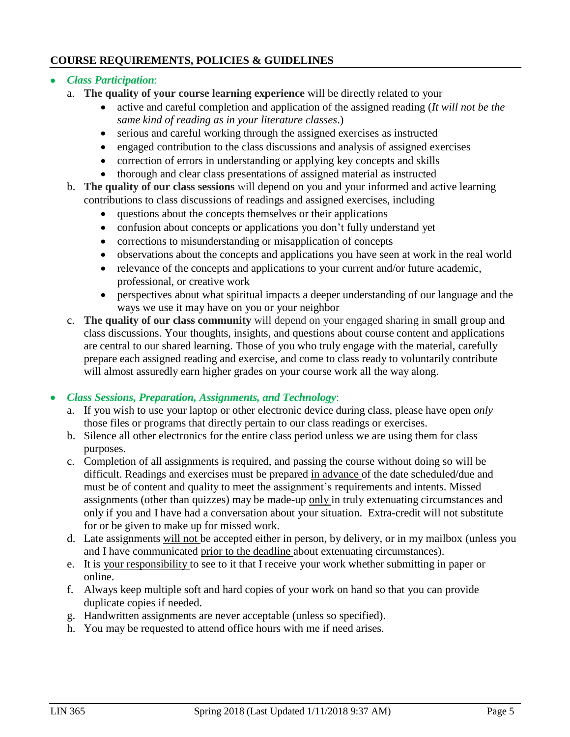### **COURSE REQUIREMENTS, POLICIES & GUIDELINES**

- *Class Participation*:
	- a. **The quality of your course learning experience** will be directly related to your
		- active and careful completion and application of the assigned reading (*It will not be the same kind of reading as in your literature classes*.)
		- serious and careful working through the assigned exercises as instructed
		- engaged contribution to the class discussions and analysis of assigned exercises
		- correction of errors in understanding or applying key concepts and skills
		- thorough and clear class presentations of assigned material as instructed
	- b. **The quality of our class sessions** will depend on you and your informed and active learning contributions to class discussions of readings and assigned exercises, including
		- questions about the concepts themselves or their applications
		- confusion about concepts or applications you don't fully understand yet
		- corrections to misunderstanding or misapplication of concepts
		- observations about the concepts and applications you have seen at work in the real world
		- relevance of the concepts and applications to your current and/or future academic, professional, or creative work
		- perspectives about what spiritual impacts a deeper understanding of our language and the ways we use it may have on you or your neighbor
	- c. **The quality of our class community** will depend on your engaged sharing in small group and class discussions. Your thoughts, insights, and questions about course content and applications are central to our shared learning. Those of you who truly engage with the material, carefully prepare each assigned reading and exercise, and come to class ready to voluntarily contribute will almost assuredly earn higher grades on your course work all the way along.

### *Class Sessions, Preparation, Assignments, and Technology*:

- a. If you wish to use your laptop or other electronic device during class, please have open *only* those files or programs that directly pertain to our class readings or exercises.
- b. Silence all other electronics for the entire class period unless we are using them for class purposes.
- c. Completion of all assignments is required, and passing the course without doing so will be difficult. Readings and exercises must be prepared in advance of the date scheduled/due and must be of content and quality to meet the assignment's requirements and intents. Missed assignments (other than quizzes) may be made-up only in truly extenuating circumstances and only if you and I have had a conversation about your situation. Extra-credit will not substitute for or be given to make up for missed work.
- d. Late assignments will not be accepted either in person, by delivery, or in my mailbox (unless you and I have communicated prior to the deadline about extenuating circumstances).
- e. It is your responsibility to see to it that I receive your work whether submitting in paper or online.
- f. Always keep multiple soft and hard copies of your work on hand so that you can provide duplicate copies if needed.
- g. Handwritten assignments are never acceptable (unless so specified).
- h. You may be requested to attend office hours with me if need arises.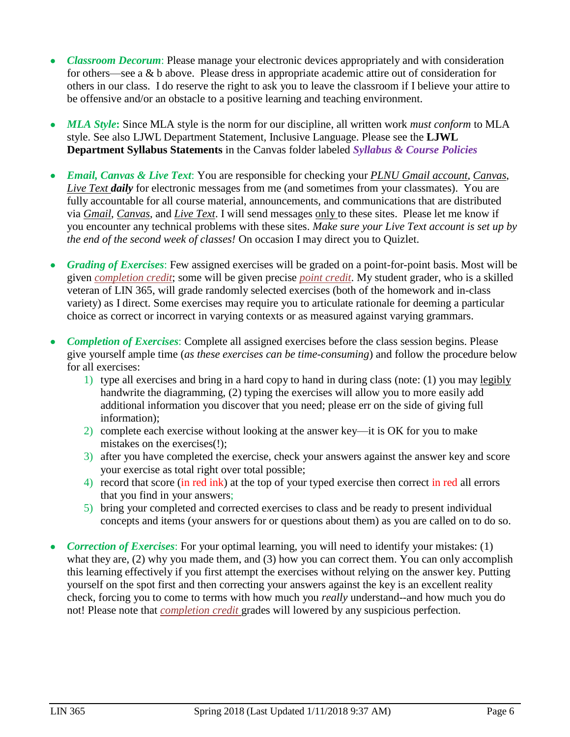- *Classroom Decorum*: Please manage your electronic devices appropriately and with consideration for others—see a & b above. Please dress in appropriate academic attire out of consideration for others in our class. I do reserve the right to ask you to leave the classroom if I believe your attire to be offensive and/or an obstacle to a positive learning and teaching environment.
- *MLA Style***:** Since MLA style is the norm for our discipline, all written work *must conform* to MLA style. See also LJWL Department Statement, Inclusive Language. Please see the **LJWL Department Syllabus Statements** in the Canvas folder labeled *Syllabus & Course Policies*
- *Email, Canvas & Live Text*: You are responsible for checking your *PLNU Gmail account*, *Canvas*, *Live Text daily* for electronic messages from me (and sometimes from your classmates). You are fully accountable for all course material, announcements, and communications that are distributed via *Gmail*, *Canvas*, and *Live Text*. I will send messages only to these sites. Please let me know if you encounter any technical problems with these sites. *Make sure your Live Text account is set up by the end of the second week of classes!* On occasion I may direct you to Quizlet.
- *Grading of Exercises*: Few assigned exercises will be graded on a point-for-point basis. Most will be given *completion credit*; some will be given precise *point credit*. My student grader, who is a skilled veteran of LIN 365, will grade randomly selected exercises (both of the homework and in-class variety) as I direct. Some exercises may require you to articulate rationale for deeming a particular choice as correct or incorrect in varying contexts or as measured against varying grammars.
- *Completion of Exercises*: Complete all assigned exercises before the class session begins. Please give yourself ample time (*as these exercises can be time-consuming*) and follow the procedure below for all exercises:
	- 1) type all exercises and bring in a hard copy to hand in during class (note: (1) you may legibly handwrite the diagramming, (2) typing the exercises will allow you to more easily add additional information you discover that you need; please err on the side of giving full information);
	- 2) complete each exercise without looking at the answer key—it is OK for you to make mistakes on the exercises(!);
	- 3) after you have completed the exercise, check your answers against the answer key and score your exercise as total right over total possible;
	- 4) record that score (in red ink) at the top of your typed exercise then correct in red all errors that you find in your answers;
	- 5) bring your completed and corrected exercises to class and be ready to present individual concepts and items (your answers for or questions about them) as you are called on to do so.
- *Correction of Exercises*: For your optimal learning, you will need to identify your mistakes: (1) what they are, (2) why you made them, and (3) how you can correct them. You can only accomplish this learning effectively if you first attempt the exercises without relying on the answer key. Putting yourself on the spot first and then correcting your answers against the key is an excellent reality check, forcing you to come to terms with how much you *really* understand--and how much you do not! Please note that *completion credit* grades will lowered by any suspicious perfection.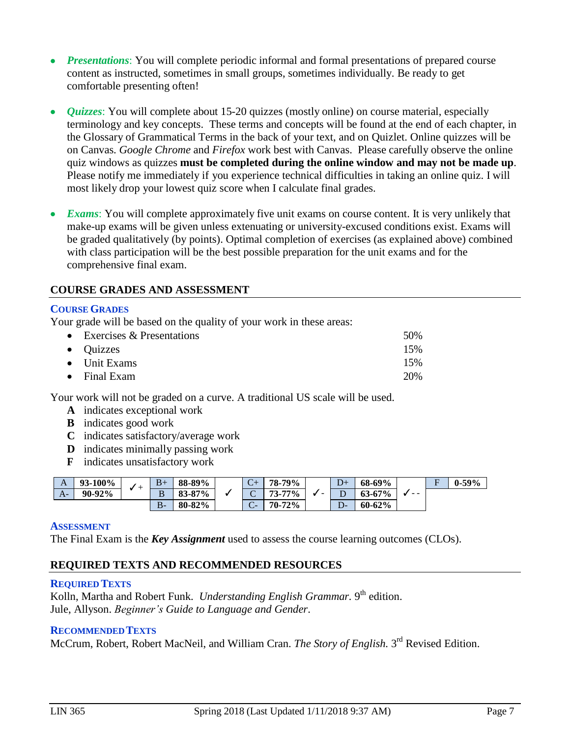- *Presentations*: You will complete periodic informal and formal presentations of prepared course content as instructed, sometimes in small groups, sometimes individually. Be ready to get comfortable presenting often!
- *Quizzes*: You will complete about 15-20 quizzes (mostly online) on course material, especially terminology and key concepts. These terms and concepts will be found at the end of each chapter, in the Glossary of Grammatical Terms in the back of your text, and on Quizlet. Online quizzes will be on Canvas. *Google Chrome* and *Firefox* work best with Canvas. Please carefully observe the online quiz windows as quizzes **must be completed during the online window and may not be made up**. Please notify me immediately if you experience technical difficulties in taking an online quiz. I will most likely drop your lowest quiz score when I calculate final grades.
- *Exams*: You will complete approximately five unit exams on course content. It is very unlikely that make-up exams will be given unless extenuating or university-excused conditions exist. Exams will be graded qualitatively (by points). Optimal completion of exercises (as explained above) combined with class participation will be the best possible preparation for the unit exams and for the comprehensive final exam.

### **COURSE GRADES AND ASSESSMENT**

### **COURSE GRADES**

Your grade will be based on the quality of your work in these areas:

| $\bullet$ Exercises & Presentations | 50% |
|-------------------------------------|-----|
| $\bullet$ Quizzes                   | 15% |
| $\bullet$ Unit Exams                | 15% |
| $\bullet$ Final Exam                | 20% |

Your work will not be graded on a curve. A traditional US scale will be used.

- **A** indicates exceptional work
- **B** indicates good work
- **C** indicates satisfactory/average work
- **D** indicates minimally passing work
- **F** indicates unsatisfactory work

| A    | 93-100% |  | $B+$  | 88-89% | $\mathsf{C}\mathsf{F}$                      | 79%<br>78-. | D+            | 68-69%     |      | $\blacksquare$ | $0 - 59\%$ |
|------|---------|--|-------|--------|---------------------------------------------|-------------|---------------|------------|------|----------------|------------|
| $A-$ | 90-92%  |  | D     | 83-87% | <br>$\overline{\phantom{1}}$<br>$\check{ }$ | 73-77%      | ◡             | $63 - 67%$ | $ -$ |                |            |
|      |         |  | $B -$ | 80-82% | $\sim$<br>$\sim$                            | 70-72%      | $\mathcal{D}$ | 60-62%     |      |                |            |

### **ASSESSMENT**

The Final Exam is the *Key Assignment* used to assess the course learning outcomes (CLOs).

### **REQUIRED TEXTS AND RECOMMENDED RESOURCES**

### **REQUIRED TEXTS**

Kolln, Martha and Robert Funk. *Understanding English Grammar*. 9<sup>th</sup> edition. Jule, Allyson. *Beginner's Guide to Language and Gender*.

### **RECOMMENDEDTEXTS**

McCrum, Robert, Robert MacNeil, and William Cran. *The Story of English.* 3 rd Revised Edition.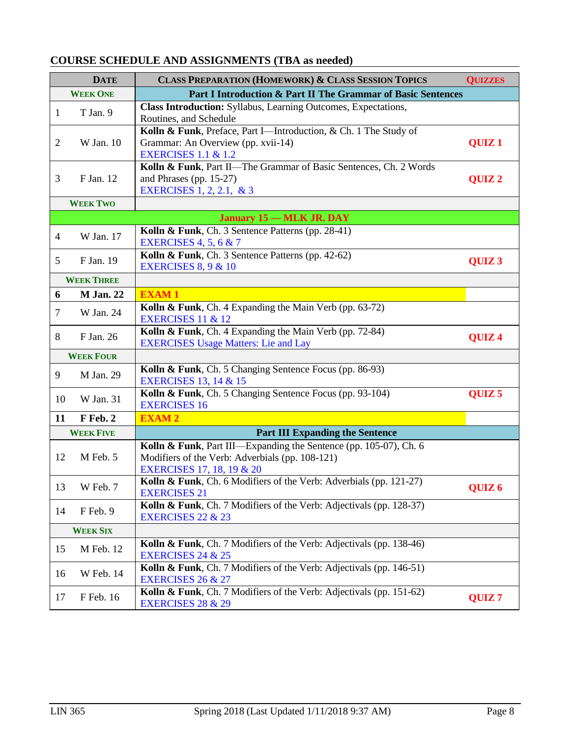## **COURSE SCHEDULE AND ASSIGNMENTS (TBA as needed)**

|                | <b>DATE</b>       | <b>CLASS PREPARATION (HOMEWORK) &amp; CLASS SESSION TOPICS</b>                                                                                    | <b>QUIZZES</b>    |
|----------------|-------------------|---------------------------------------------------------------------------------------------------------------------------------------------------|-------------------|
|                | <b>WEEK ONE</b>   | Part I Introduction & Part II The Grammar of Basic Sentences                                                                                      |                   |
| $\mathbf{1}$   | T Jan. 9          | Class Introduction: Syllabus, Learning Outcomes, Expectations,<br>Routines, and Schedule                                                          |                   |
| $\overline{2}$ | W Jan. 10         | Kolln & Funk, Preface, Part I-Introduction, & Ch. 1 The Study of<br>Grammar: An Overview (pp. xvii-14)<br><b>EXERCISES 1.1 &amp; 1.2</b>          | QUIZ <sub>1</sub> |
| 3              | F Jan. 12         | Kolln & Funk, Part II-The Grammar of Basic Sentences, Ch. 2 Words<br>and Phrases (pp. 15-27)<br>EXERCISES 1, 2, 2.1, & 3                          | QUIZ <sub>2</sub> |
|                | <b>WEEK TWO</b>   |                                                                                                                                                   |                   |
|                |                   | <b>January 15 – MLK JR. DAY</b>                                                                                                                   |                   |
| $\overline{4}$ | W Jan. 17         | Kolln & Funk, Ch. 3 Sentence Patterns (pp. 28-41)<br><b>EXERCISES 4, 5, 6 &amp; 7</b>                                                             |                   |
| 5              | F Jan. 19         | Kolln & Funk, Ch. 3 Sentence Patterns (pp. 42-62)<br><b>EXERCISES 8, 9 &amp; 10</b>                                                               | QUIZ <sub>3</sub> |
|                | <b>WEEK THREE</b> |                                                                                                                                                   |                   |
| 6              | <b>M</b> Jan. 22  | <b>EXAM1</b>                                                                                                                                      |                   |
| $\tau$         | W Jan. 24         | Kolln & Funk, Ch. 4 Expanding the Main Verb (pp. 63-72)<br>EXERCISES 11 & 12                                                                      |                   |
| 8              | F Jan. 26         | Kolln & Funk, Ch. 4 Expanding the Main Verb (pp. 72-84)<br><b>EXERCISES Usage Matters: Lie and Lay</b>                                            | QUIZ <sub>4</sub> |
|                | <b>WEEK FOUR</b>  |                                                                                                                                                   |                   |
| 9              | M Jan. 29         | Kolln & Funk, Ch. 5 Changing Sentence Focus (pp. 86-93)<br><b>EXERCISES 13, 14 &amp; 15</b>                                                       |                   |
| 10             | W Jan. 31         | Kolln & Funk, Ch. 5 Changing Sentence Focus (pp. 93-104)<br><b>EXERCISES 16</b>                                                                   | QUIZ <sub>5</sub> |
| 11             | F Feb. 2          | <b>EXAM2</b>                                                                                                                                      |                   |
|                | <b>WEEK FIVE</b>  | <b>Part III Expanding the Sentence</b>                                                                                                            |                   |
| 12             | M Feb. 5          | Kolln & Funk, Part III—Expanding the Sentence (pp. 105-07), Ch. 6<br>Modifiers of the Verb: Adverbials (pp. 108-121)<br>EXERCISES 17, 18, 19 & 20 |                   |
|                | 13 W Feb. 7       | Kolln & Funk, Ch. 6 Modifiers of the Verb: Adverbials (pp. 121-27)<br><b>EXERCISES 21</b>                                                         | QUIZ <sub>6</sub> |
| 14             | F Feb. 9          | Kolln & Funk, Ch. 7 Modifiers of the Verb: Adjectivals (pp. 128-37)<br><b>EXERCISES 22 &amp; 23</b>                                               |                   |
|                | <b>WEEK SIX</b>   |                                                                                                                                                   |                   |
| 15             | M Feb. 12         | Kolln & Funk, Ch. 7 Modifiers of the Verb: Adjectivals (pp. 138-46)<br><b>EXERCISES 24 &amp; 25</b>                                               |                   |
| 16             | <b>W</b> Feb. 14  | Kolln & Funk, Ch. 7 Modifiers of the Verb: Adjectivals (pp. 146-51)<br><b>EXERCISES 26 &amp; 27</b>                                               |                   |
| 17             | F Feb. 16         | Kolln & Funk, Ch. 7 Modifiers of the Verb: Adjectivals (pp. 151-62)<br><b>EXERCISES 28 &amp; 29</b>                                               | QUIZ <sub>7</sub> |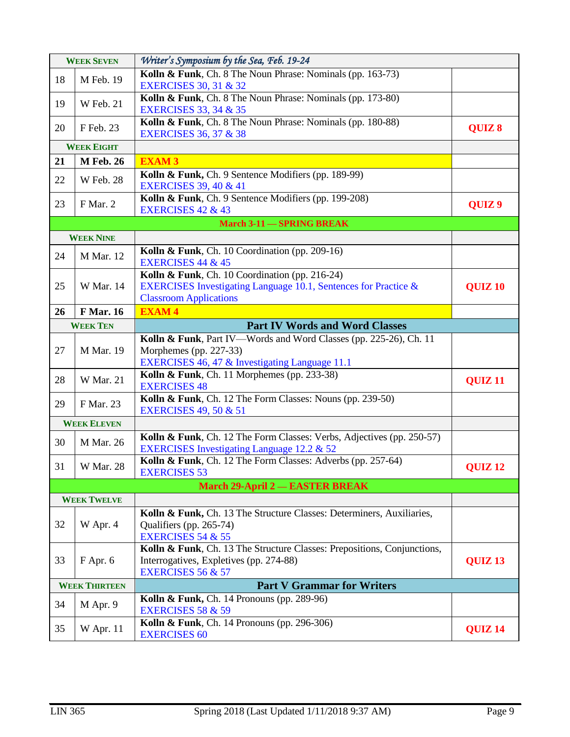| <b>WEEK SEVEN</b> |                      | Writer's Symposium by the Sea, Feb. 19-24                                                                           |                    |
|-------------------|----------------------|---------------------------------------------------------------------------------------------------------------------|--------------------|
| 18                | M Feb. 19            | Kolln & Funk, Ch. 8 The Noun Phrase: Nominals (pp. 163-73)                                                          |                    |
|                   |                      | <b>EXERCISES 30, 31 &amp; 32</b>                                                                                    |                    |
| 19                | <b>W</b> Feb. 21     | Kolln & Funk, Ch. 8 The Noun Phrase: Nominals (pp. 173-80)<br><b>EXERCISES 33, 34 &amp; 35</b>                      |                    |
| 20                | F Feb. 23            | Kolln & Funk, Ch. 8 The Noun Phrase: Nominals (pp. 180-88)                                                          |                    |
|                   |                      | <b>EXERCISES 36, 37 &amp; 38</b>                                                                                    | QUIZ 8             |
|                   | <b>WEEK EIGHT</b>    |                                                                                                                     |                    |
| 21                | <b>M</b> Feb. 26     | <b>EXAM3</b>                                                                                                        |                    |
| 22                | <b>W</b> Feb. 28     | Kolln & Funk, Ch. 9 Sentence Modifiers (pp. 189-99)<br><b>EXERCISES 39, 40 &amp; 41</b>                             |                    |
| 23                | F Mar. 2             | Kolln & Funk, Ch. 9 Sentence Modifiers (pp. 199-208)                                                                | QUIZ <sub>9</sub>  |
|                   |                      | <b>EXERCISES 42 &amp; 43</b><br><b>March 3-11 - SPRING BREAK</b>                                                    |                    |
|                   | <b>WEEK NINE</b>     |                                                                                                                     |                    |
|                   |                      | Kolln & Funk, Ch. 10 Coordination (pp. 209-16)                                                                      |                    |
| 24                | <b>M</b> Mar. 12     | <b>EXERCISES 44 &amp; 45</b>                                                                                        |                    |
|                   |                      | Kolln & Funk, Ch. 10 Coordination (pp. 216-24)                                                                      |                    |
| 25                | W Mar. 14            | EXERCISES Investigating Language 10.1, Sentences for Practice &                                                     | <b>QUIZ 10</b>     |
|                   |                      | <b>Classroom Applications</b>                                                                                       |                    |
| 26                | <b>F</b> Mar. 16     | <b>EXAM4</b>                                                                                                        |                    |
|                   | <b>WEEK TEN</b>      | <b>Part IV Words and Word Classes</b>                                                                               |                    |
|                   |                      | Kolln & Funk, Part IV-Words and Word Classes (pp. 225-26), Ch. 11                                                   |                    |
| 27                | <b>M</b> Mar. 19     | Morphemes (pp. 227-33)                                                                                              |                    |
|                   |                      |                                                                                                                     |                    |
|                   |                      | EXERCISES 46, 47 & Investigating Language 11.1                                                                      |                    |
| 28                | W Mar. 21            | Kolln & Funk, Ch. 11 Morphemes (pp. 233-38)<br><b>EXERCISES 48</b>                                                  | QUIZ <sub>11</sub> |
|                   |                      | Kolln & Funk, Ch. 12 The Form Classes: Nouns (pp. 239-50)                                                           |                    |
| 29                | F Mar. 23            | <b>EXERCISES 49, 50 &amp; 51</b>                                                                                    |                    |
|                   | <b>WEEK ELEVEN</b>   |                                                                                                                     |                    |
| 30                | M Mar. 26            | Kolln & Funk, Ch. 12 The Form Classes: Verbs, Adjectives (pp. 250-57)<br>EXERCISES Investigating Language 12.2 & 52 |                    |
| 31                | <b>W</b> Mar. 28     | Kolln & Funk, Ch. 12 The Form Classes: Adverbs (pp. 257-64)                                                         | QUIZ <sub>12</sub> |
|                   |                      | <b>EXERCISES 53</b>                                                                                                 |                    |
|                   |                      | <b>March 29-April 2 - EASTER BREAK</b>                                                                              |                    |
|                   | <b>WEEK TWELVE</b>   |                                                                                                                     |                    |
| 32                |                      | Kolln & Funk, Ch. 13 The Structure Classes: Determiners, Auxiliaries,                                               |                    |
|                   | W Apr. 4             | Qualifiers (pp. 265-74)<br><b>EXERCISES 54 &amp; 55</b>                                                             |                    |
|                   |                      | Kolln & Funk, Ch. 13 The Structure Classes: Prepositions, Conjunctions,                                             |                    |
| 33                | F Apr. 6             | Interrogatives, Expletives (pp. 274-88)                                                                             | QUIZ <sub>13</sub> |
|                   |                      | <b>EXERCISES 56 &amp; 57</b>                                                                                        |                    |
|                   | <b>WEEK THIRTEEN</b> | <b>Part V Grammar for Writers</b>                                                                                   |                    |
| 34                | M Apr. 9             | Kolln & Funk, Ch. 14 Pronouns (pp. 289-96)<br><b>EXERCISES 58 &amp; 59</b>                                          |                    |
| 35                | <b>W</b> Apr. 11     | Kolln & Funk, Ch. 14 Pronouns (pp. 296-306)<br><b>EXERCISES 60</b>                                                  | QUIZ <sub>14</sub> |